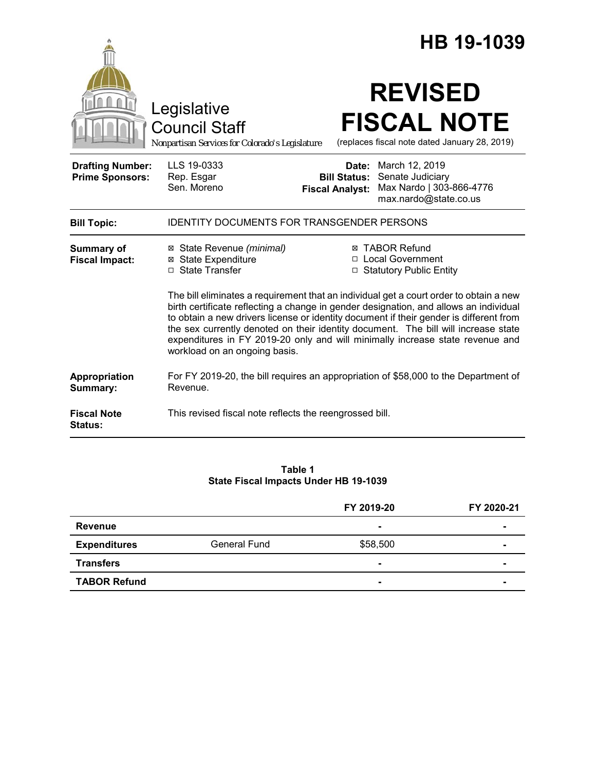|                                                   |                                                                                                                                                                                                                                                                                                                                                                                                                                                                                   |                                               | HB 19-1039                                                                                           |
|---------------------------------------------------|-----------------------------------------------------------------------------------------------------------------------------------------------------------------------------------------------------------------------------------------------------------------------------------------------------------------------------------------------------------------------------------------------------------------------------------------------------------------------------------|-----------------------------------------------|------------------------------------------------------------------------------------------------------|
|                                                   | Legislative<br><b>Council Staff</b><br>Nonpartisan Services for Colorado's Legislature                                                                                                                                                                                                                                                                                                                                                                                            |                                               | <b>REVISED</b><br><b>FISCAL NOTE</b><br>(replaces fiscal note dated January 28, 2019)                |
| <b>Drafting Number:</b><br><b>Prime Sponsors:</b> | LLS 19-0333<br>Rep. Esgar<br>Sen. Moreno                                                                                                                                                                                                                                                                                                                                                                                                                                          | <b>Bill Status:</b><br><b>Fiscal Analyst:</b> | <b>Date:</b> March 12, 2019<br>Senate Judiciary<br>Max Nardo   303-866-4776<br>max.nardo@state.co.us |
| <b>Bill Topic:</b>                                | <b>IDENTITY DOCUMENTS FOR TRANSGENDER PERSONS</b>                                                                                                                                                                                                                                                                                                                                                                                                                                 |                                               |                                                                                                      |
| <b>Summary of</b><br><b>Fiscal Impact:</b>        | ⊠ State Revenue (minimal)<br><b>⊠</b> State Expenditure<br>□ State Transfer                                                                                                                                                                                                                                                                                                                                                                                                       |                                               | <b>⊠ TABOR Refund</b><br>□ Local Government<br>□ Statutory Public Entity                             |
|                                                   | The bill eliminates a requirement that an individual get a court order to obtain a new<br>birth certificate reflecting a change in gender designation, and allows an individual<br>to obtain a new drivers license or identity document if their gender is different from<br>the sex currently denoted on their identity document. The bill will increase state<br>expenditures in FY 2019-20 only and will minimally increase state revenue and<br>workload on an ongoing basis. |                                               |                                                                                                      |
| Appropriation<br>Summary:                         | For FY 2019-20, the bill requires an appropriation of \$58,000 to the Department of<br>Revenue.                                                                                                                                                                                                                                                                                                                                                                                   |                                               |                                                                                                      |
| <b>Fiscal Note</b><br>Status:                     | This revised fiscal note reflects the reengrossed bill.                                                                                                                                                                                                                                                                                                                                                                                                                           |                                               |                                                                                                      |

#### **Table 1 State Fiscal Impacts Under HB 19-1039**

|                     |              | FY 2019-20 | FY 2020-21     |
|---------------------|--------------|------------|----------------|
| <b>Revenue</b>      |              |            |                |
| <b>Expenditures</b> | General Fund | \$58,500   | ۰              |
| <b>Transfers</b>    |              |            | $\blacksquare$ |
| <b>TABOR Refund</b> |              |            | $\blacksquare$ |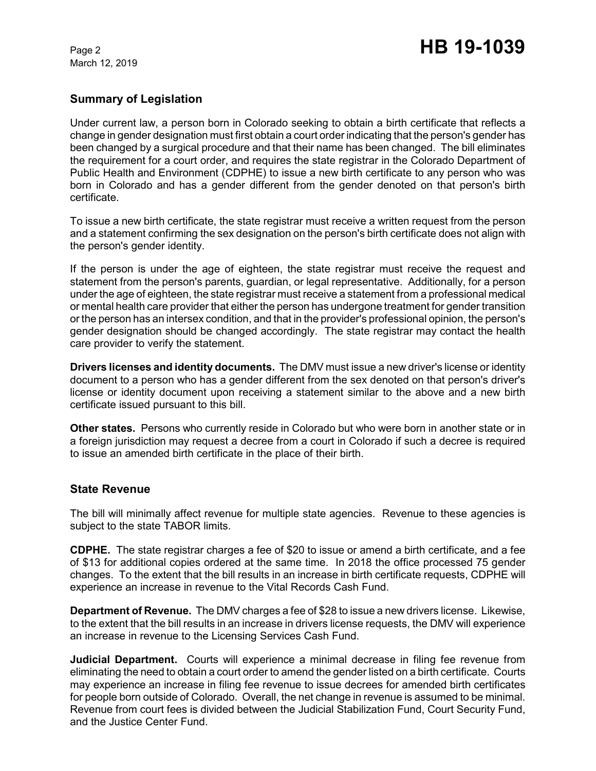March 12, 2019

## **Summary of Legislation**

Under current law, a person born in Colorado seeking to obtain a birth certificate that reflects a change in gender designation must first obtain a court order indicating that the person's gender has been changed by a surgical procedure and that their name has been changed. The bill eliminates the requirement for a court order, and requires the state registrar in the Colorado Department of Public Health and Environment (CDPHE) to issue a new birth certificate to any person who was born in Colorado and has a gender different from the gender denoted on that person's birth certificate.

To issue a new birth certificate, the state registrar must receive a written request from the person and a statement confirming the sex designation on the person's birth certificate does not align with the person's gender identity.

If the person is under the age of eighteen, the state registrar must receive the request and statement from the person's parents, guardian, or legal representative. Additionally, for a person under the age of eighteen, the state registrar must receive a statement from a professional medical or mental health care provider that either the person has undergone treatment for gender transition or the person has an intersex condition, and that in the provider's professional opinion, the person's gender designation should be changed accordingly. The state registrar may contact the health care provider to verify the statement.

**Drivers licenses and identity documents.** The DMV must issue a new driver's license or identity document to a person who has a gender different from the sex denoted on that person's driver's license or identity document upon receiving a statement similar to the above and a new birth certificate issued pursuant to this bill.

**Other states.** Persons who currently reside in Colorado but who were born in another state or in a foreign jurisdiction may request a decree from a court in Colorado if such a decree is required to issue an amended birth certificate in the place of their birth.

#### **State Revenue**

The bill will minimally affect revenue for multiple state agencies. Revenue to these agencies is subject to the state TABOR limits.

**CDPHE.** The state registrar charges a fee of \$20 to issue or amend a birth certificate, and a fee of \$13 for additional copies ordered at the same time. In 2018 the office processed 75 gender changes. To the extent that the bill results in an increase in birth certificate requests, CDPHE will experience an increase in revenue to the Vital Records Cash Fund.

**Department of Revenue.** The DMV charges a fee of \$28 to issue a new drivers license. Likewise, to the extent that the bill results in an increase in drivers license requests, the DMV will experience an increase in revenue to the Licensing Services Cash Fund.

**Judicial Department.** Courts will experience a minimal decrease in filing fee revenue from eliminating the need to obtain a court order to amend the gender listed on a birth certificate. Courts may experience an increase in filing fee revenue to issue decrees for amended birth certificates for people born outside of Colorado. Overall, the net change in revenue is assumed to be minimal. Revenue from court fees is divided between the Judicial Stabilization Fund, Court Security Fund, and the Justice Center Fund.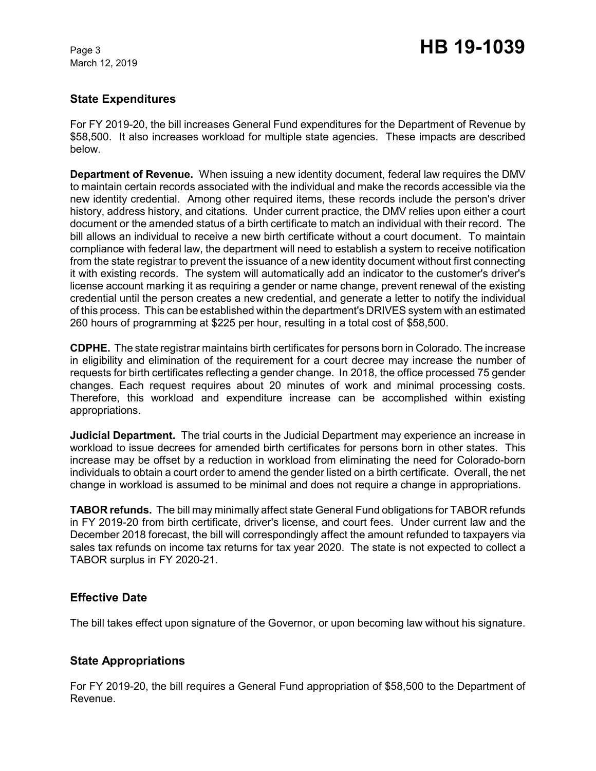March 12, 2019

# Page 3 **HB 19-1039**

### **State Expenditures**

For FY 2019-20, the bill increases General Fund expenditures for the Department of Revenue by \$58,500. It also increases workload for multiple state agencies. These impacts are described below.

**Department of Revenue.** When issuing a new identity document, federal law requires the DMV to maintain certain records associated with the individual and make the records accessible via the new identity credential. Among other required items, these records include the person's driver history, address history, and citations. Under current practice, the DMV relies upon either a court document or the amended status of a birth certificate to match an individual with their record. The bill allows an individual to receive a new birth certificate without a court document. To maintain compliance with federal law, the department will need to establish a system to receive notification from the state registrar to prevent the issuance of a new identity document without first connecting it with existing records. The system will automatically add an indicator to the customer's driver's license account marking it as requiring a gender or name change, prevent renewal of the existing credential until the person creates a new credential, and generate a letter to notify the individual of this process. This can be established within the department's DRIVES system with an estimated 260 hours of programming at \$225 per hour, resulting in a total cost of \$58,500.

**CDPHE.** The state registrar maintains birth certificates for persons born in Colorado. The increase in eligibility and elimination of the requirement for a court decree may increase the number of requests for birth certificates reflecting a gender change. In 2018, the office processed 75 gender changes. Each request requires about 20 minutes of work and minimal processing costs. Therefore, this workload and expenditure increase can be accomplished within existing appropriations.

**Judicial Department.** The trial courts in the Judicial Department may experience an increase in workload to issue decrees for amended birth certificates for persons born in other states. This increase may be offset by a reduction in workload from eliminating the need for Colorado-born individuals to obtain a court order to amend the gender listed on a birth certificate. Overall, the net change in workload is assumed to be minimal and does not require a change in appropriations.

**TABOR refunds.** The bill may minimally affect state General Fund obligations for TABOR refunds in FY 2019-20 from birth certificate, driver's license, and court fees. Under current law and the December 2018 forecast, the bill will correspondingly affect the amount refunded to taxpayers via sales tax refunds on income tax returns for tax year 2020. The state is not expected to collect a TABOR surplus in FY 2020-21.

### **Effective Date**

The bill takes effect upon signature of the Governor, or upon becoming law without his signature.

### **State Appropriations**

For FY 2019-20, the bill requires a General Fund appropriation of \$58,500 to the Department of Revenue.